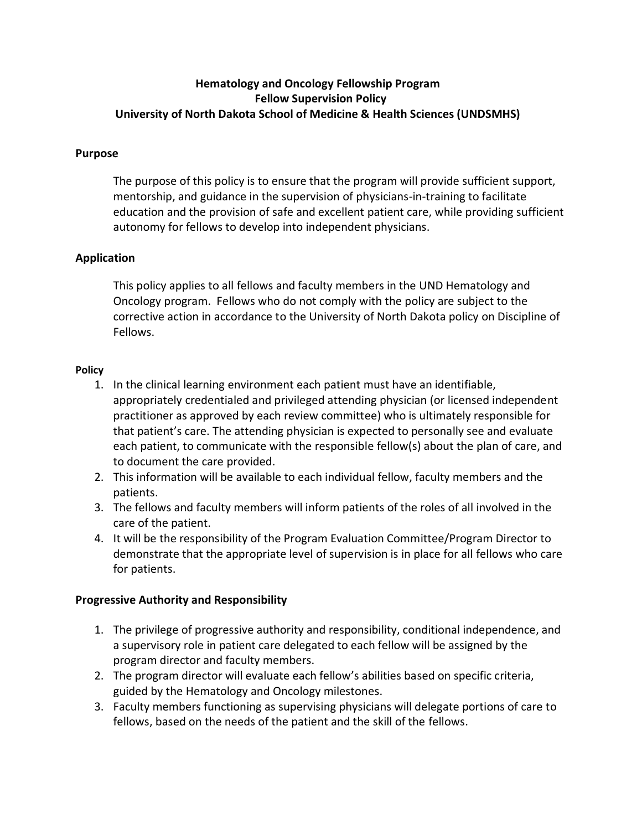# **Hematology and Oncology Fellowship Program Fellow Supervision Policy University of North Dakota School of Medicine & Health Sciences (UNDSMHS)**

## **Purpose**

The purpose of this policy is to ensure that the program will provide sufficient support, mentorship, and guidance in the supervision of physicians-in-training to facilitate education and the provision of safe and excellent patient care, while providing sufficient autonomy for fellows to develop into independent physicians.

## **Application**

This policy applies to all fellows and faculty members in the UND Hematology and Oncology program. Fellows who do not comply with the policy are subject to the corrective action in accordance to the University of North Dakota policy on Discipline of Fellows.

#### **Policy**

- 1. In the clinical learning environment each patient must have an identifiable, appropriately credentialed and privileged attending physician (or licensed independent practitioner as approved by each review committee) who is ultimately responsible for that patient's care. The attending physician is expected to personally see and evaluate each patient, to communicate with the responsible fellow(s) about the plan of care, and to document the care provided.
- 2. This information will be available to each individual fellow, faculty members and the patients.
- 3. The fellows and faculty members will inform patients of the roles of all involved in the care of the patient.
- 4. It will be the responsibility of the Program Evaluation Committee/Program Director to demonstrate that the appropriate level of supervision is in place for all fellows who care for patients.

### **Progressive Authority and Responsibility**

- 1. The privilege of progressive authority and responsibility, conditional independence, and a supervisory role in patient care delegated to each fellow will be assigned by the program director and faculty members.
- 2. The program director will evaluate each fellow's abilities based on specific criteria, guided by the Hematology and Oncology milestones.
- 3. Faculty members functioning as supervising physicians will delegate portions of care to fellows, based on the needs of the patient and the skill of the fellows.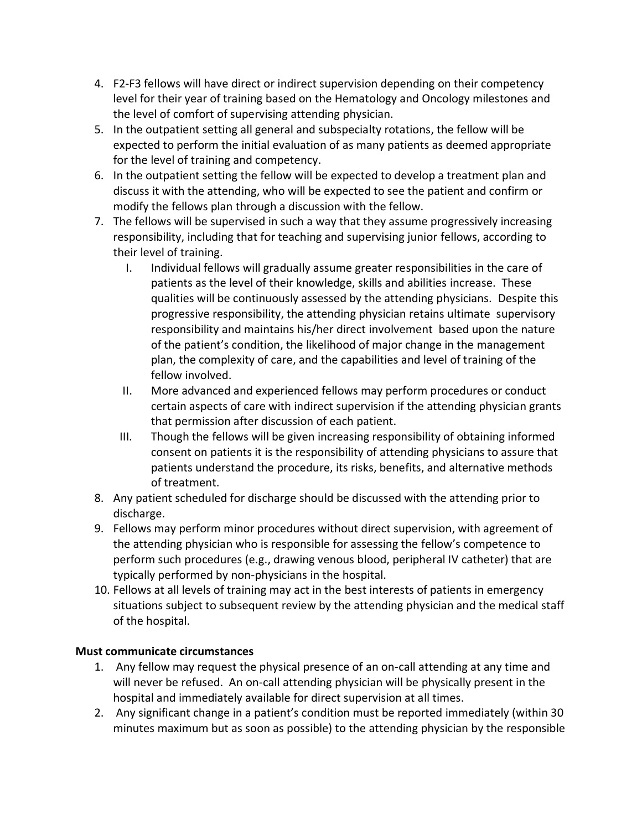- 4. F2-F3 fellows will have direct or indirect supervision depending on their competency level for their year of training based on the Hematology and Oncology milestones and the level of comfort of supervising attending physician.
- 5. In the outpatient setting all general and subspecialty rotations, the fellow will be expected to perform the initial evaluation of as many patients as deemed appropriate for the level of training and competency.
- 6. In the outpatient setting the fellow will be expected to develop a treatment plan and discuss it with the attending, who will be expected to see the patient and confirm or modify the fellows plan through a discussion with the fellow.
- 7. The fellows will be supervised in such a way that they assume progressively increasing responsibility, including that for teaching and supervising junior fellows, according to their level of training.
	- I. Individual fellows will gradually assume greater responsibilities in the care of patients as the level of their knowledge, skills and abilities increase. These qualities will be continuously assessed by the attending physicians. Despite this progressive responsibility, the attending physician retains ultimate supervisory responsibility and maintains his/her direct involvement based upon the nature of the patient's condition, the likelihood of major change in the management plan, the complexity of care, and the capabilities and level of training of the fellow involved.
	- II. More advanced and experienced fellows may perform procedures or conduct certain aspects of care with indirect supervision if the attending physician grants that permission after discussion of each patient.
	- III. Though the fellows will be given increasing responsibility of obtaining informed consent on patients it is the responsibility of attending physicians to assure that patients understand the procedure, its risks, benefits, and alternative methods of treatment.
- 8. Any patient scheduled for discharge should be discussed with the attending prior to discharge.
- 9. Fellows may perform minor procedures without direct supervision, with agreement of the attending physician who is responsible for assessing the fellow's competence to perform such procedures (e.g., drawing venous blood, peripheral IV catheter) that are typically performed by non-physicians in the hospital.
- 10. Fellows at all levels of training may act in the best interests of patients in emergency situations subject to subsequent review by the attending physician and the medical staff of the hospital.

# **Must communicate circumstances**

- 1. Any fellow may request the physical presence of an on-call attending at any time and will never be refused. An on-call attending physician will be physically present in the hospital and immediately available for direct supervision at all times.
- 2. Any significant change in a patient's condition must be reported immediately (within 30 minutes maximum but as soon as possible) to the attending physician by the responsible